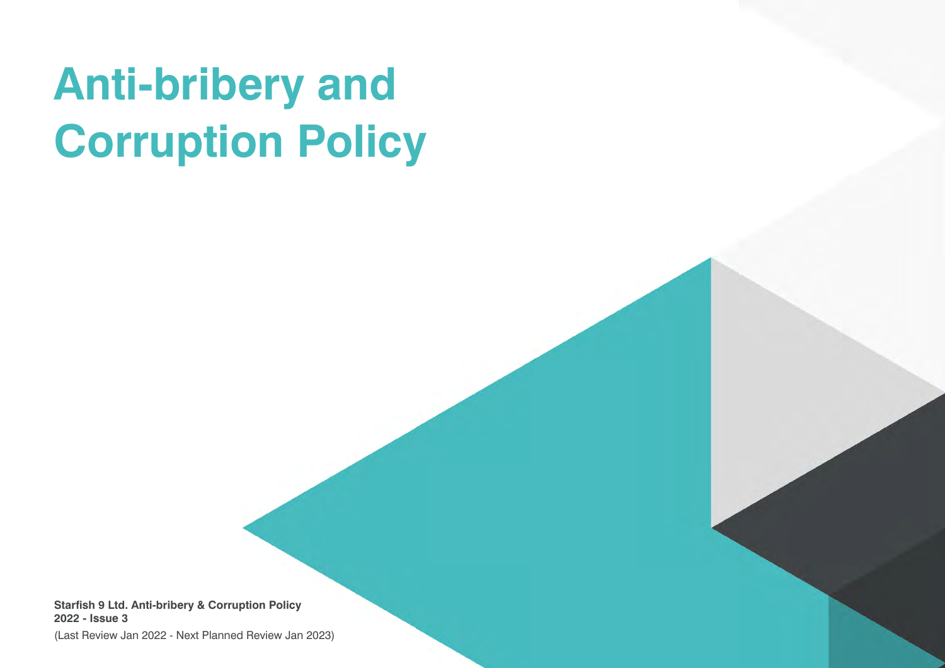# **Anti-bribery and Corruption Policy**

**Starfish 9 Ltd. Anti-bribery & Corruption Policy 2022 - Issue 3**

(Last Review Jan 2022 - Next Planned Review Jan 2023)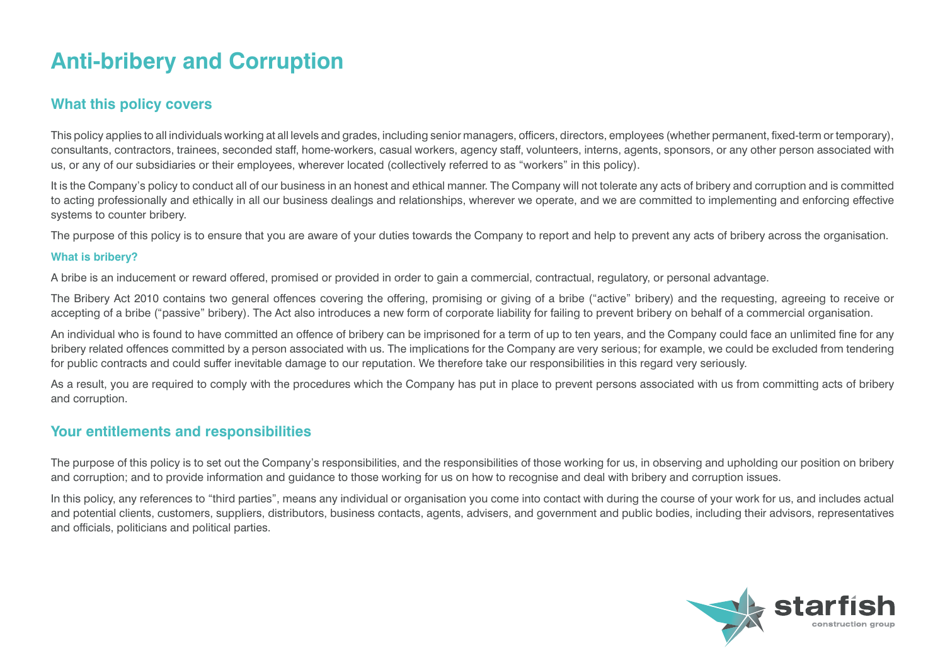# **Anti-bribery and Corruption**

# **What this policy covers**

This policy applies to all individuals working at all levels and grades, including senior managers, officers, directors, employees (whether permanent, fixed-term or temporary), consultants, contractors, trainees, seconded staff, home-workers, casual workers, agency staff, volunteers, interns, agents, sponsors, or any other person associated with us, or any of our subsidiaries or their employees, wherever located (collectively referred to as "workers" in this policy).

It is the Company's policy to conduct all of our business in an honest and ethical manner. The Company will not tolerate any acts of bribery and corruption and is committed to acting professionally and ethically in all our business dealings and relationships, wherever we operate, and we are committed to implementing and enforcing effective systems to counter bribery.

The purpose of this policy is to ensure that you are aware of your duties towards the Company to report and help to prevent any acts of bribery across the organisation.

#### **What is bribery?**

A bribe is an inducement or reward offered, promised or provided in order to gain a commercial, contractual, regulatory, or personal advantage.

The Bribery Act 2010 contains two general offences covering the offering, promising or giving of a bribe ("active" bribery) and the requesting, agreeing to receive or accepting of a bribe ("passive" bribery). The Act also introduces a new form of corporate liability for failing to prevent bribery on behalf of a commercial organisation.

An individual who is found to have committed an offence of bribery can be imprisoned for a term of up to ten years, and the Company could face an unlimited fine for any bribery related offences committed by a person associated with us. The implications for the Company are very serious; for example, we could be excluded from tendering for public contracts and could suffer inevitable damage to our reputation. We therefore take our responsibilities in this regard very seriously.

As a result, you are required to comply with the procedures which the Company has put in place to prevent persons associated with us from committing acts of bribery and corruption.

## **Your entitlements and responsibilities**

The purpose of this policy is to set out the Company's responsibilities, and the responsibilities of those working for us, in observing and upholding our position on bribery and corruption; and to provide information and guidance to those working for us on how to recognise and deal with bribery and corruption issues.

In this policy, any references to "third parties", means any individual or organisation you come into contact with during the course of your work for us, and includes actual and potential clients, customers, suppliers, distributors, business contacts, agents, advisers, and government and public bodies, including their advisors, representatives and officials, politicians and political parties.

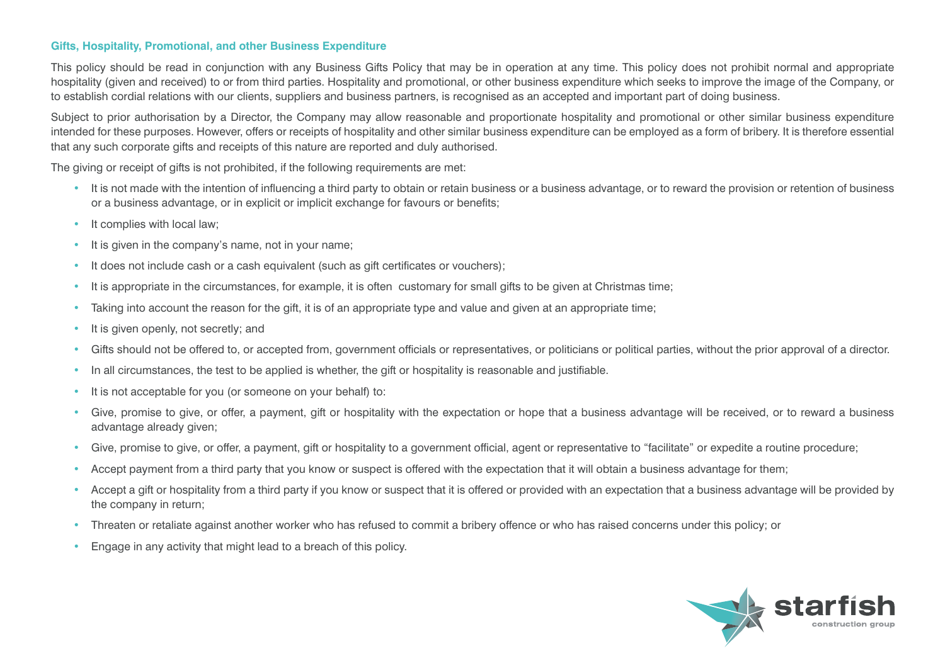#### **Gifts, Hospitality, Promotional, and other Business Expenditure**

This policy should be read in conjunction with any Business Gifts Policy that may be in operation at any time. This policy does not prohibit normal and appropriate hospitality (given and received) to or from third parties. Hospitality and promotional, or other business expenditure which seeks to improve the image of the Company, or to establish cordial relations with our clients, suppliers and business partners, is recognised as an accepted and important part of doing business.

Subject to prior authorisation by a Director, the Company may allow reasonable and proportionate hospitality and promotional or other similar business expenditure intended for these purposes. However, offers or receipts of hospitality and other similar business expenditure can be employed as a form of bribery. It is therefore essential that any such corporate gifts and receipts of this nature are reported and duly authorised.

The giving or receipt of gifts is not prohibited, if the following requirements are met:

- It is not made with the intention of influencing a third party to obtain or retain business or a business advantage, or to reward the provision or retention of business or a business advantage, or in explicit or implicit exchange for favours or benefits;
- It complies with local law:
- It is given in the company's name, not in your name;
- It does not include cash or a cash equivalent (such as gift certificates or vouchers);
- It is appropriate in the circumstances, for example, it is often customary for small gifts to be given at Christmas time;
- Taking into account the reason for the gift, it is of an appropriate type and value and given at an appropriate time;
- It is given openly, not secretly; and
- Gifts should not be offered to, or accepted from, government officials or representatives, or politicians or political parties, without the prior approval of a director.
- In all circumstances, the test to be applied is whether, the gift or hospitality is reasonable and justifiable.
- It is not acceptable for you (or someone on your behalf) to:
- Give, promise to give, or offer, a payment, gift or hospitality with the expectation or hope that a business advantage will be received, or to reward a business advantage already given;
- Give, promise to give, or offer, a payment, gift or hospitality to a government official, agent or representative to "facilitate" or expedite a routine procedure;
- Accept payment from a third party that you know or suspect is offered with the expectation that it will obtain a business advantage for them;
- Accept a gift or hospitality from a third party if you know or suspect that it is offered or provided with an expectation that a business advantage will be provided by the company in return;
- Threaten or retaliate against another worker who has refused to commit a bribery offence or who has raised concerns under this policy; or
- Engage in any activity that might lead to a breach of this policy.

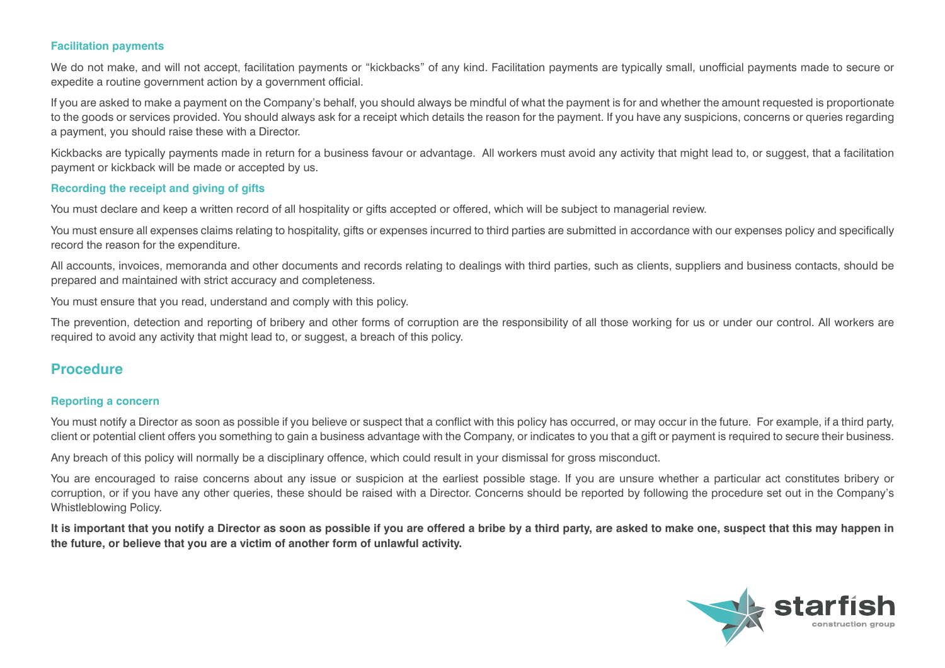#### **Facilitation payments**

We do not make, and will not accept, facilitation payments or "kickbacks" of any kind. Facilitation payments are typically small, unofficial payments made to secure or expedite a routine government action by a government official.

If you are asked to make a payment on the Company's behalf, you should always be mindful of what the payment is for and whether the amount requested is proportionate to the goods or services provided. You should always ask for a receipt which details the reason for the payment. If you have any suspicions, concerns or queries regarding a payment, you should raise these with a Director.

Kickbacks are typically payments made in return for a business favour or advantage. All workers must avoid any activity that might lead to, or suggest, that a facilitation payment or kickback will be made or accepted by us.

#### **Recording the receipt and giving of gifts**

You must declare and keep a written record of all hospitality or gifts accepted or offered, which will be subject to managerial review.

You must ensure all expenses claims relating to hospitality, gifts or expenses incurred to third parties are submitted in accordance with our expenses policy and specifically record the reason for the expenditure.

All accounts, invoices, memoranda and other documents and records relating to dealings with third parties, such as clients, suppliers and business contacts, should be prepared and maintained with strict accuracy and completeness.

You must ensure that you read, understand and comply with this policy.

The prevention, detection and reporting of bribery and other forms of corruption are the responsibility of all those working for us or under our control. All workers are required to avoid any activity that might lead to, or suggest, a breach of this policy.

### **Procedure**

#### **Reporting a concern**

You must notify a Director as soon as possible if you believe or suspect that a conflict with this policy has occurred, or may occur in the future. For example, if a third party, client or potential client offers you something to gain a business advantage with the Company, or indicates to you that a gift or payment is required to secure their business.

Any breach of this policy will normally be a disciplinary offence, which could result in your dismissal for gross misconduct.

You are encouraged to raise concerns about any issue or suspicion at the earliest possible stage. If you are unsure whether a particular act constitutes bribery or corruption, or if you have any other queries, these should be raised with a Director. Concerns should be reported by following the procedure set out in the Company's Whistleblowing Policy.

**It is important that you notify a Director as soon as possible if you are offered a bribe by a third party, are asked to make one, suspect that this may happen in the future, or believe that you are a victim of another form of unlawful activity.**